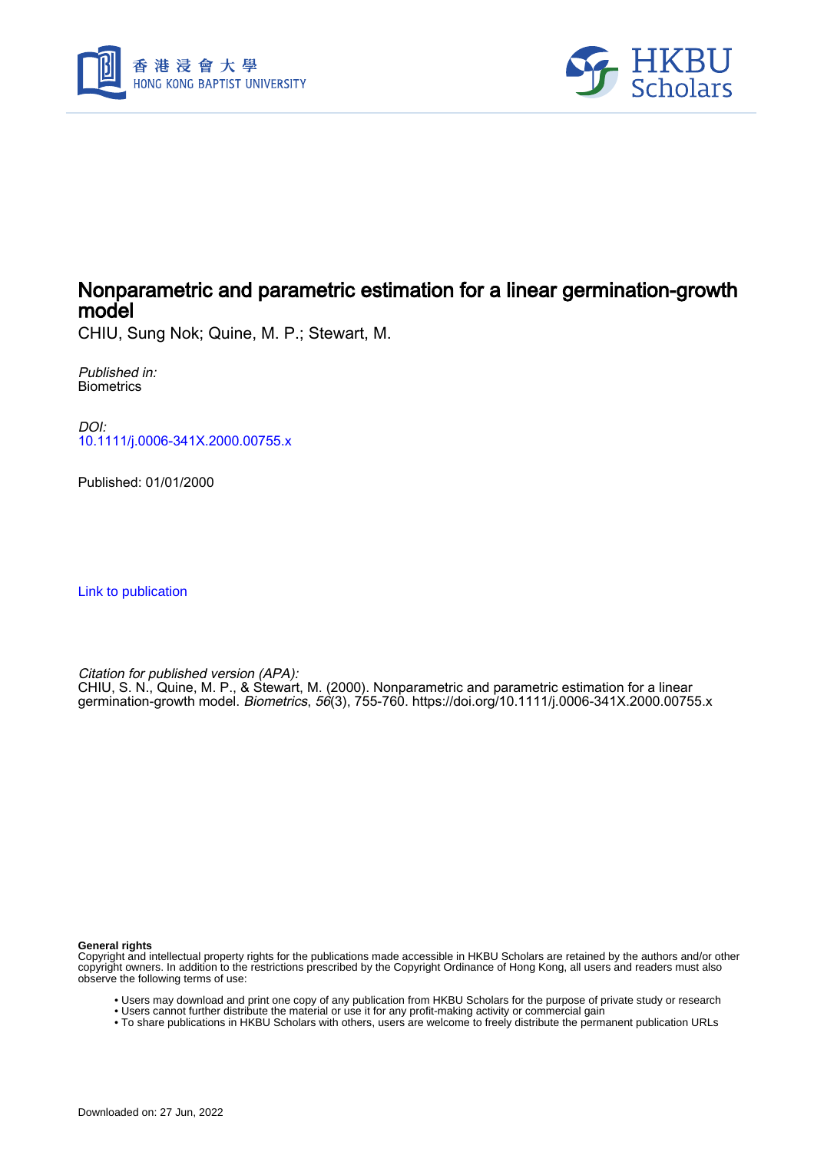



## Nonparametric and parametric estimation for a linear germination-growth model

CHIU, Sung Nok; Quine, M. P.; Stewart, M.

Published in: **Biometrics** 

DOI: [10.1111/j.0006-341X.2000.00755.x](https://doi.org/10.1111/j.0006-341X.2000.00755.x)

Published: 01/01/2000

[Link to publication](https://scholars.hkbu.edu.hk/en/publications/6c88ef4d-2130-4cd4-b499-f24b24ed99c7)

Citation for published version (APA): CHIU, S. N., Quine, M. P., & Stewart, M. (2000). Nonparametric and parametric estimation for a linear germination-growth model. Biometrics, 56(3), 755-760.<https://doi.org/10.1111/j.0006-341X.2000.00755.x>

**General rights**

Copyright and intellectual property rights for the publications made accessible in HKBU Scholars are retained by the authors and/or other copyright owners. In addition to the restrictions prescribed by the Copyright Ordinance of Hong Kong, all users and readers must also observe the following terms of use:

- Users may download and print one copy of any publication from HKBU Scholars for the purpose of private study or research
- Users cannot further distribute the material or use it for any profit-making activity or commercial gain
- To share publications in HKBU Scholars with others, users are welcome to freely distribute the permanent publication URLs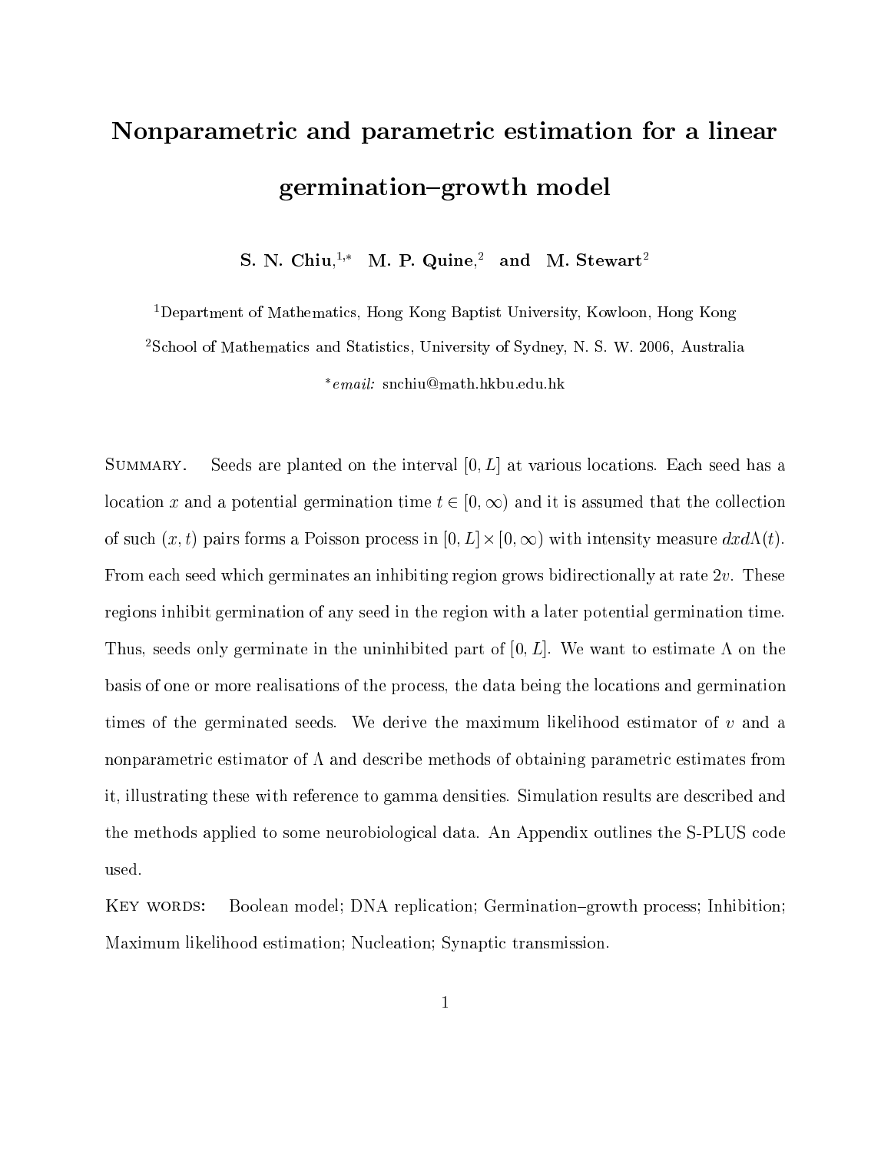# Nonparametric and parametric estimation for <sup>a</sup> linear germination of  $\mathbb{R}^n$  , we have the model of  $\mathbb{R}^n$

S. N. Chiu,<sup>1,\*</sup> M. P. Quine,<sup>2</sup> and M. Stewart<sup>2</sup>

1Department of Mathematics, Hong Kong Baptist University, Kowloon, Hong Kong

2School of Mathematics and Statistics, University of Sydney, N. S. W. 2006, Australia

email: snchiu@math.hkbu.edu.hk

SUMMARY. Seeds are planted on the interval  $[0, L]$  at various locations. Each seed has a location x and a potential germination time  $t \in [0, \infty)$  and it is assumed that the collection of such (x; t) pairs forms a Poisson process in [0; L] - [0; 1) with intensity measure dxd(t). From each seed which germinates an inhibiting region grows bidirectionally at rate 2v. These regions inhibit germination of any seed in the region with a later potential germination time. Thus, seeds only germinate in the uninhibited part of  $[0, L]$ . We want to estimate A on the basis of one or more realisations of the process, the data being the locations and germination times of the germinated seeds. We derive the maximum likelihood estimator of  $v$  and a nonparametric estimator of  $\Lambda$  and describe methods of obtaining parametric estimates from it, illustrating these with reference to gamma densities. Simulation results are described and the methods applied to some neurobiological data. An Appendix outlines the S-PLUS code used.

KEY WORDS: Boolean model; DNA replication; Germination-growth process; Inhibition; Maximum likelihood estimation; Nucleation; Synaptic transmission.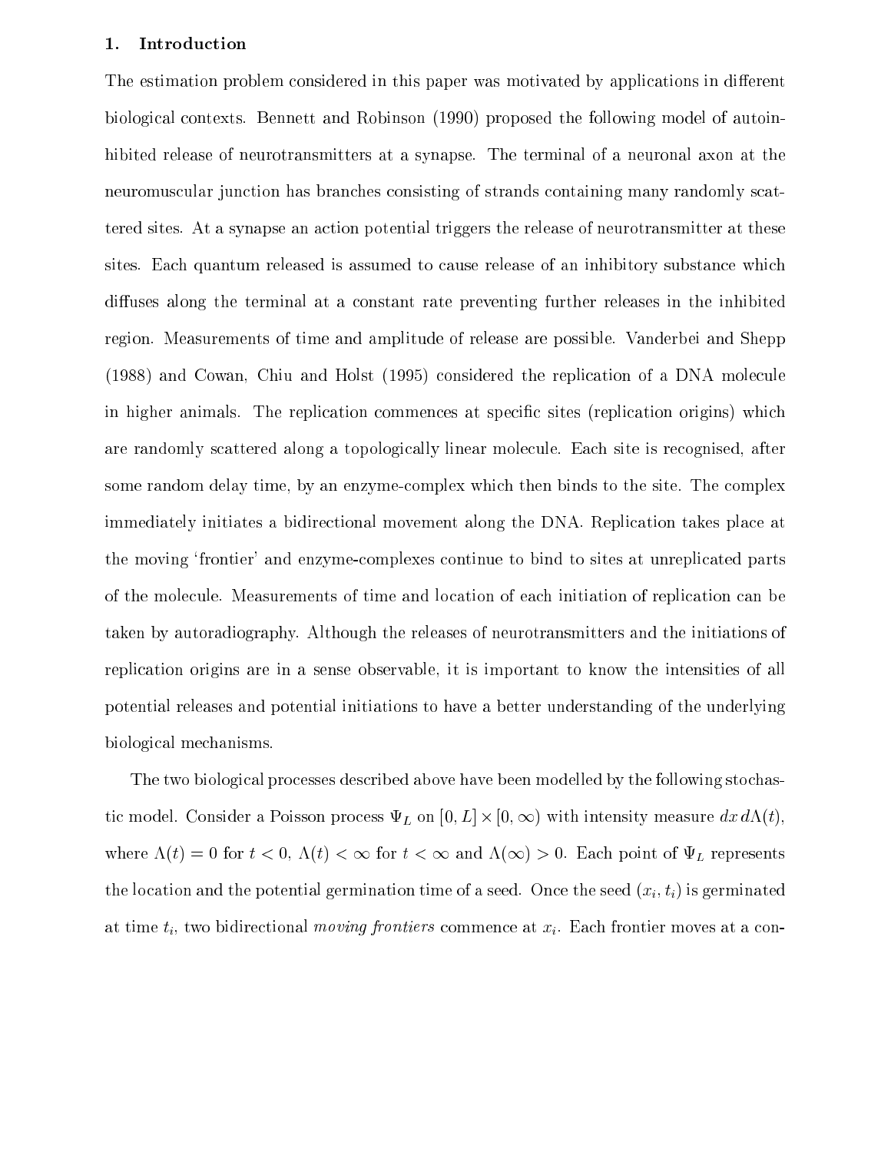#### 1. Introduction

The estimation problem considered in this paper was motivated by applications in different biological contexts. Bennett and Robinson (1990) proposed the following model of autoinhibited release of neurotransmitters at a synapse. The terminal of a neuronal axon at the neuromuscular junction has branches consisting of strands containing many randomly scattered sites. At a synapse an action potential triggers the release of neurotransmitter at these sites. Each quantum released is assumed to cause release of an inhibitory substance which diffuses along the terminal at a constant rate preventing further releases in the inhibited region. Measurements of time and amplitude of release are possible. Vanderbei and Shepp (1988) and Cowan, Chiu and Holst (1995) considered the replication of a DNA molecule in higher animals. The replication commences at specific sites (replication origins) which are randomly scattered along a topologically linear molecule. Each site is recognised, after some random delay time, by an enzyme-complex which then binds to the site. The complex immediately initiates a bidirectional movement along the DNA. Replication takes place at the moving `frontier' and enzyme-complexes continue to bind to sites at unreplicated parts of the molecule. Measurements of time and location of each initiation of replication can be taken by autoradiography. Although the releases of neurotransmitters and the initiations of replication origins are in a sense observable, it is important to know the intensities of all potential releases and potential initiations to have a better understanding of the underlying biological mechanisms.

The two biological processes described above have been modelled by the following stochastic model. Consider a Poisson process  $\sqcup$  -  $\sqcup$  (i)  $\sqcup$  (i),  $\sqcup$  (i),  $\sqcup$ where  $\Lambda(t)=0$  for  $t < 0$ ,  $\Lambda(t) < \infty$  for  $t < \infty$  and  $\Lambda(\infty) > 0$ . Each point of  $\Psi_L$  represents the location and the potential germination time of a seed. Once the seed  $(x_i, t_i)$  is germinated at time  $t_i$ , two bidirectional *moving frontiers* commence at  $x_i$ . Each frontier moves at a con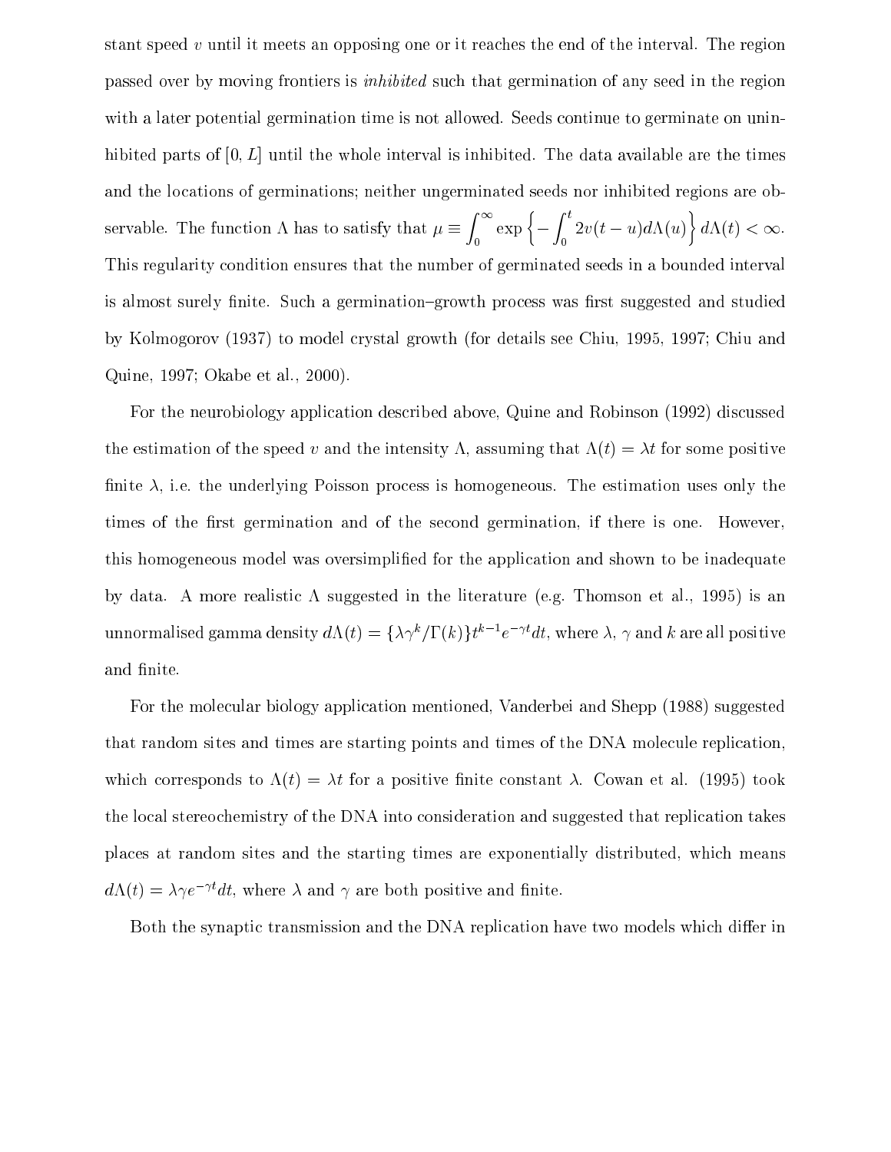stant speed v until it meets an opposing one or it reaches the end of the interval. The region passed over by moving frontiers is inhibited such that germination of any seed in the region with a later potential germination time is not allowed. Seeds continue to germinate on uninhibited parts of  $[0, L]$  until the whole interval is inhibited. The data available are the times and the locations of germinations; neither ungerminated seeds nor inhibited regions are observable. The function is to satisfy that the function  $\mathbf{f}(\mathbf{f})$  that the function  $\mathbf{f}(\mathbf{f})$  that the function  $\mathbf{f}(\mathbf{f})$ <sup>Z</sup> <sup>1</sup>  $\exp\left\{-\int^t 2v(t-u)v\right\}$  $2v(t-u)d\Lambda(u)$   $\Big\{ d\Lambda(t) < \infty.$ This regularity condition ensures that the number of germinated seeds in a bounded interval is almost surely finite. Such a germination-growth process was first suggested and studied by Kolmogorov (1937) to model crystal growth (for details see Chiu, 1995, 1997; Chiu and Quine, 1997; Okabe et al., 2000).

For the neurobiology application described above, Quine and Robinson (1992) discussed the estimation of the speed v and the intensity  $\Lambda$ , assuming that  $\Lambda(t) = \lambda t$  for some positive finite  $\lambda$ , i.e. the underlying Poisson process is homogeneous. The estimation uses only the times of the first germination and of the second germination, if there is one. However, this homogeneous model was oversimplied for the application and shown to be inadequate by data. A more realistic  $\Lambda$  suggested in the literature (e.g. Thomson et al., 1995) is an unnormalised gamma density  $d\Lambda(t) = \{\lambda \gamma^k/\Gamma(k)\} t^{k-1} e^{-\gamma t} dt$ , where  $\lambda$ ,  $\gamma$  and  $k$  are all positive and finite.

For the molecular biology application mentioned, Vanderbei and Shepp (1988) suggested that random sites and times are starting points and times of the DNA molecule replication, which corresponds to  $\Lambda(t) = \lambda t$  for a positive finite constant  $\lambda$ . Cowan et al. (1995) took the local stereochemistry of the DNA into consideration and suggested that replication takes places at random sites and the starting times are exponentially distributed, which means  $d\Lambda(t) = \lambda \gamma e^{-\gamma t} dt$ , where  $\lambda$  and  $\gamma$  are both positive and finite.

Both the synaptic transmission and the DNA replication have two models which differ in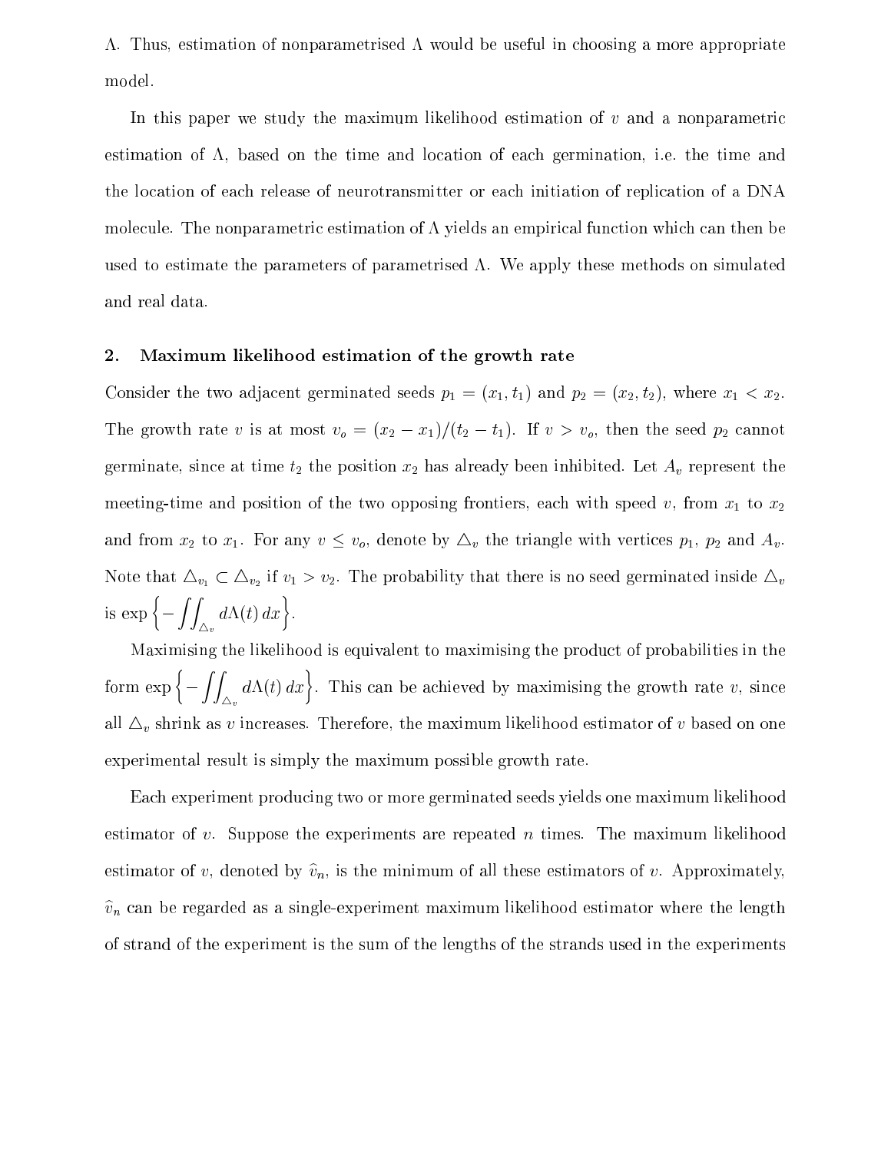$\Lambda$ . Thus, estimation of nonparametrised  $\Lambda$  would be useful in choosing a more appropriate model.

In this paper we study the maximum likelihood estimation of  $v$  and a nonparametric estimation of  $\Lambda$ , based on the time and location of each germination, i.e. the time and the location of each release of neurotransmitter or each initiation of replication of a DNA molecule. The nonparametric estimation of  $\Lambda$  yields an empirical function which can then be used to estimate the parameters of parametrised  $\Lambda$ . We apply these methods on simulated and real data.

#### 2. Maximum likelihood estimation of the growth rate

Consider the two adjacent germinated seeds  $p_1 = (x_1, t_1)$  and  $p_2 = (x_2, t_2)$ , where  $x_1 < x_2$ . The growth rate v is at most  $v_o = (x_2 - x_1)/(t_2 - t_1)$ . If  $v > v_o$ , then the seed  $p_2$  cannot germinate, since at time  $t_2$  the position  $x_2$  has already been inhibited. Let  $A_v$  represent the meeting-time and position of the two opposing frontiers, each with speed v, from  $x_1$  to  $x_2$ and from  $x_2$  to  $x_1$ . For any  $v \le v_o$ , denote by  $\Delta_v$  the triangle with vertices  $p_1$ ,  $p_2$  and  $A_v$ . if value that  $\mathcal{L}_l$  if  $\mathcal{L}_l$  if  $\mathcal{L}_l$  is no set that the probability that the  $\mathcal{L}_l$  is no seed  $\mathcal{L}_l$  inside  $\mathcal{L}_l$ is  $\exp\left\{-\int\!\!\int_{\triangle_v}d\Lambda(t)\,dx\right\}.$ 

Maximising the likelihood is equivalent to maximising the product of probabilities in the form  $\exp\left\{-\int\!\!\int_{\Delta_v}d\Lambda(t)\,dx\right\}$ . This can . This can be achieved by maximizing the growth rate v, since  $\alpha$ all 4v shrink as <sup>v</sup> increases. Therefore, the maximum likelihood estimator of <sup>v</sup> based on one experimental result is simply the maximum possible growth rate.

Each experiment producing two or more germinated seeds yields one maximum likelihood estimator of v. Suppose the experiments are repeated  $n$  times. The maximum likelihood estimator of v, denoted by  $\hat{v}_n$ , is the minimum of all these estimators of v. Approximately,  $\hat{v}_n$  can be regarded as a single-experiment maximum likelihood estimator where the length of strand of the experiment is the sum of the lengths of the strands used in the experiments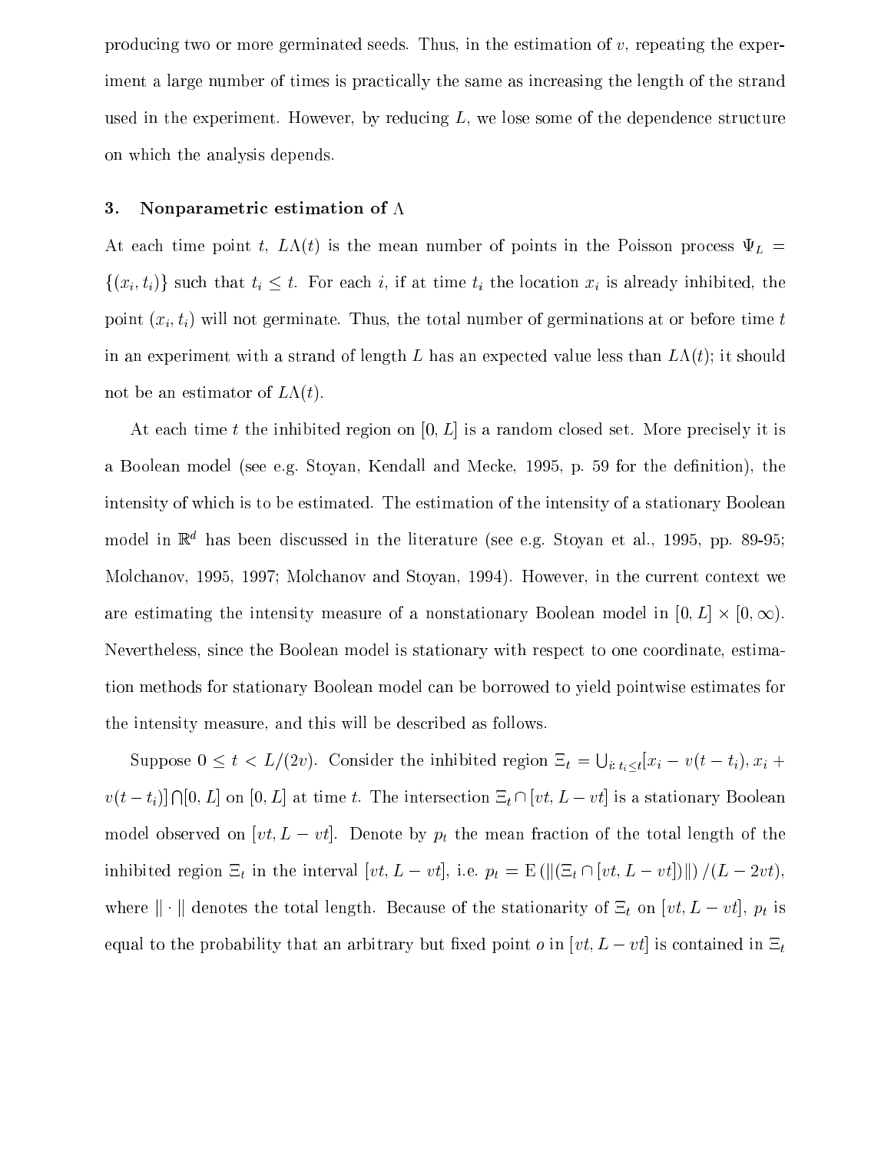producing two or more germinated seeds. Thus, in the estimation of  $v$ , repeating the experiment a large number of times is practically the same as increasing the length of the strand used in the experiment. However, by reducing  $L$ , we lose some of the dependence structure on which the analysis depends.

#### 3. Nonparametric estimation of  $\Lambda$

At each time point t,  $L\Lambda(t)$  is the mean number of points in the Poisson process  $\Psi_L =$  $\{(x_i, t_i)\}\)$  such that  $t_i \leq t$ . For each i, if at time  $t_i$  the location  $x_i$  is already inhibited, the point  $(x_i, t_i)$  will not germinate. Thus, the total number of germinations at or before time t in an experiment with a strand of length L has an expected value less than  $L\Lambda(t)$ ; it should not be an estimator of  $L(x)$ .

At each time t the inhibited region on  $[0, L]$  is a random closed set. More precisely it is a Boolean model (see e.g. Stoyan, Kendall and Mecke, 1995, p. 59 for the definition), the intensity of which is to be estimated. The estimation of the intensity of a stationary Boolean model in  $\mathbb{R}^d$  has been discussed in the literature (see e.g. Stoyan et al., 1995, pp. 89-95; Molchanov, 1995, 1997; Molchanov and Stoyan, 1994). However, in the current context we are estimating the internal measure of a non-tensionary Boolean model in  $\mathbb{R}^n$  . The internal model is  $\mathbb{R}^n$ Nevertheless, since the Boolean model is stationary with respect to one coordinate, estimation methods for stationary Boolean model can be borrowed to yield pointwise estimates for the intensity measure, and this will be described as follows.

Suppose  $0 \leq t < L/(2v)$ . Consider the inhibited region  $\Xi_t = \bigcup_{i:\, t_i \leq t} [x_i - v(t - t_i), x_i +$  $v(t-t_i) \bigcap [0,L]$  on  $[0,L]$  at time t. The intersection  $\Xi_t \cap [vt, L - vt]$  is a stationary Boolean model observed on  $[vt, L - vt]$ . Denote by  $p_t$  the mean fraction of the total length of the inhibited region  $\Xi_t$  in the interval  $[vt, L - vt]$ , i.e.  $p_t = \mathbb{E}(\|(\Xi_t \cap [vt, L - vt])\|)/(L - 2vt)$ , where the total length of the total length of the stationarity of the stationarity of the stationarity of the stationarity of the stationarity of the stationarity of the stationarity of the stationarity of the stationarit equal to the probability that an arbitrary but fixed point  $o$  in  $[vt, L - vt]$  is contained in  $\Xi_t$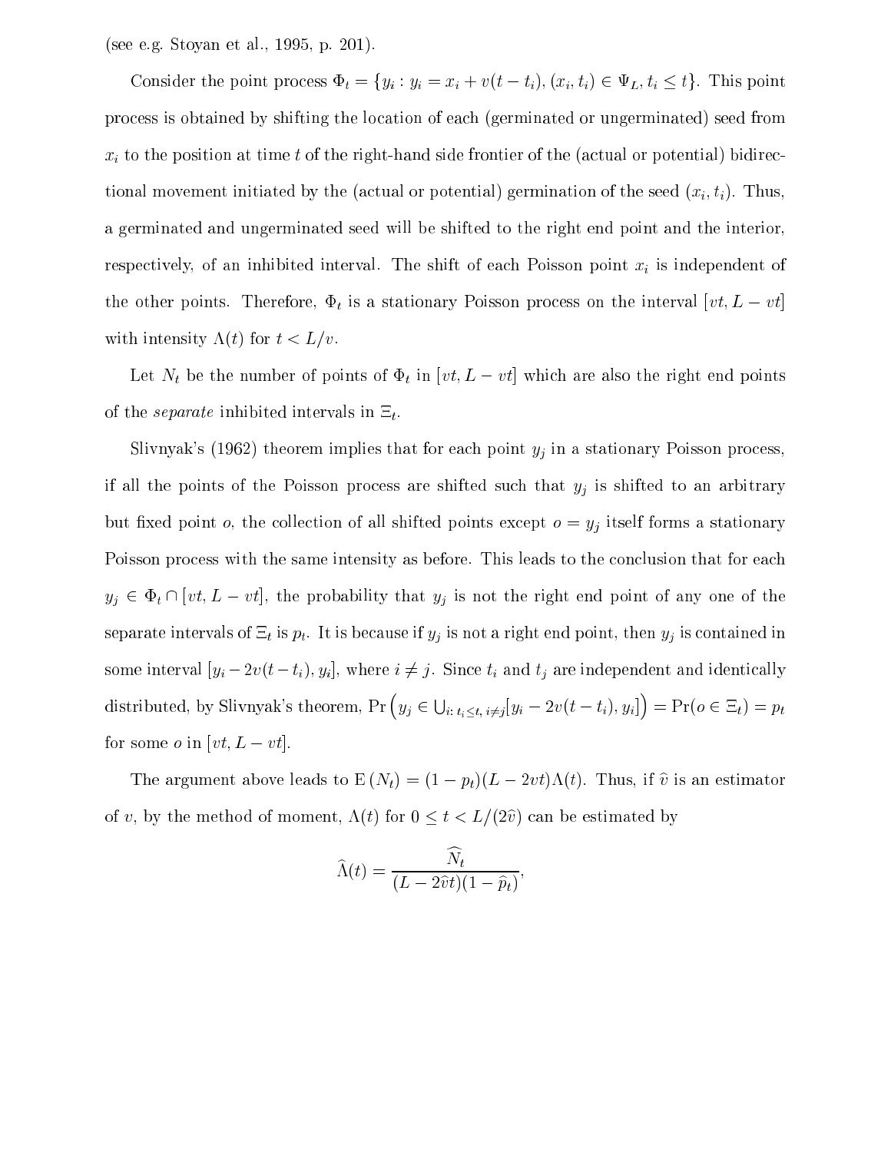(see e.g. Stoyan etal., 1995, p. 201).

Consider the point process  $\Phi_t = \{y_i : y_i = x_i + v(t - t_i), (x_i, t_i) \in \Psi_L, t_i \leq t\}$ . This point process is obtained by shifting the location of each (germinated or ungerminated) seed from  $x_i$  to the position at time t of the right-hand side frontier of the (actual or potential) bidirectional movement initiated by the (actual or potential) germination of the seed  $(x_i, t_i)$ . Thus, a germinated and ungerminated seed will be shifted to the right end point and the interior, respectively, of an inhibited interval. The shift of each Poisson point  $x_i$  is independent of the other points. Therefore,  $\Phi_t$  is a stationary Poisson process on the interval  $[vt, L - vt]$ with intensity  $\Lambda(t)$  for  $t < L/v$ .

Let  $N_t$  be the number of points of  $\Phi_t$  in  $[vt, L - vt]$  which are also the right end points of the *separate* inhibited intervals in  $\Xi_t$ .

Slivnyak's (1962) theorem implies that for each point  $y_j$  in a stationary Poisson process, if all the points of the Poisson process are shifted such that  $y_j$  is shifted to an arbitrary but fixed point  $o$ , the collection of all shifted points except  $o = y_j$  itself forms a stationary Poisson process with the same intensity as before. This leads to the conclusion that for each  $y_j \in \Phi_t \cap [vt, L - vt]$ , the probability that  $y_j$  is not the right end point of any one of the separate intervals of  $\Xi_t$  is  $p_t$ . It is because if  $y_j$  is not a right end point, then  $y_j$  is contained in some interval  $[y_i - 2v(t - t_i), y_i]$ , where  $i \neq j$ . Since  $t_i$  and  $t_j$  are independent and identically distributed, by Slivnyak's theorem,  $\Pr\left(y_j \in \bigcup_{i:\; t_i < t,\; i \neq j} [y_i - 2v(t - t_i), y_i]\right) = \Pr(o \in \Xi_t) = p_t$ for some *o* in  $[vt, L - vt]$ .

The argument above leads to  $E(N_t) = (1 - p_t)(L - 2vt)\Lambda(t)$ . Thus, if  $\hat{v}$  is an estimator of v, by the method of moment,  $\Lambda(t)$  for  $0 \leq t < L/(2\hat{v})$  can be estimated by

$$
\widehat{\Lambda}(t) = \frac{\widehat{N}_t}{(L - 2\widehat{v}t)(1 - \widehat{p}_t)},
$$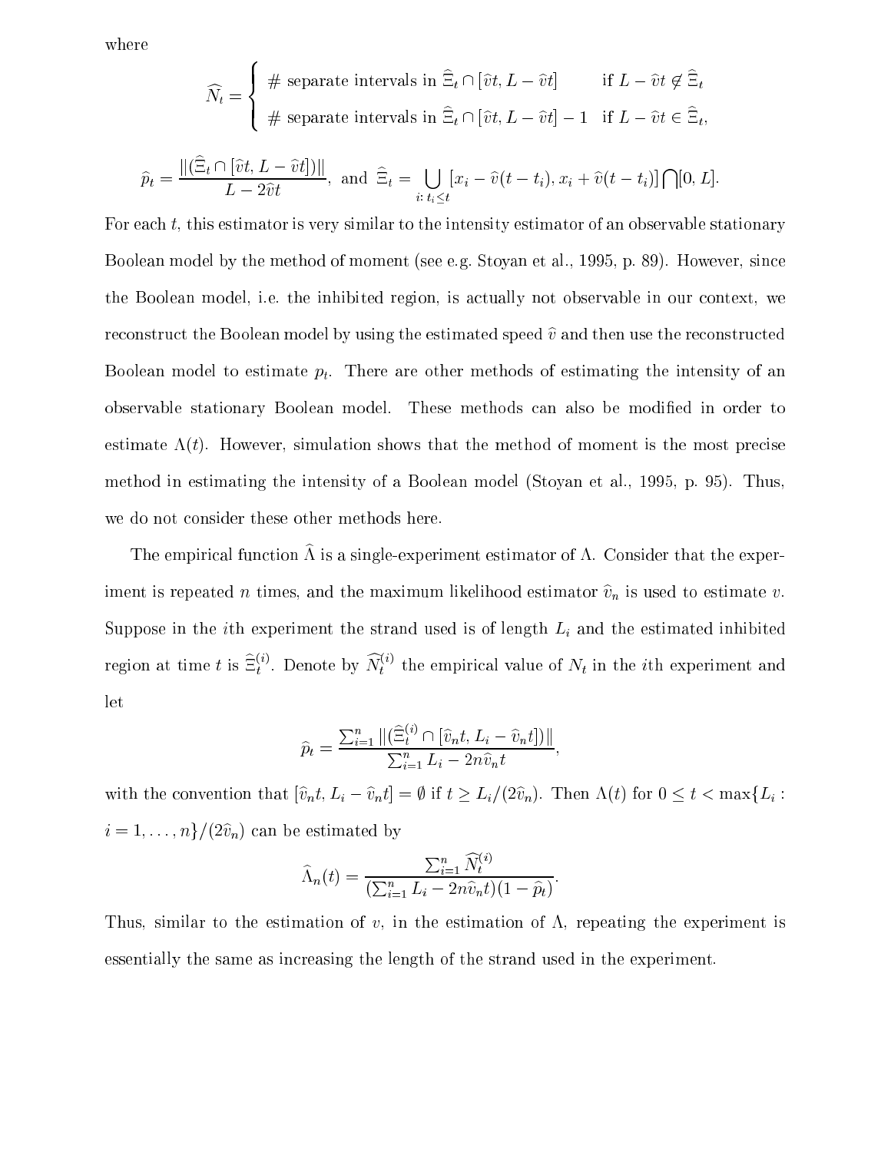where

$$
\widehat{N}_t = \begin{cases}\n\# \text{ separate intervals in } \widehat{\Xi}_t \cap [\widehat{v}t, L - \widehat{v}t] & \text{if } L - \widehat{v}t \notin \widehat{\Xi}_t \\
\#\text{ separate intervals in } \widehat{\Xi}_t \cap [\widehat{v}t, L - \widehat{v}t] - 1 & \text{if } L - \widehat{v}t \in \widehat{\Xi}_t,\n\end{cases}
$$

$$
\widehat{p}_t = \frac{\|(\widehat{\Xi}_t \cap [\widehat{v}t, L - \widehat{v}t])\|}{L - 2\widehat{v}t}, \text{ and } \widehat{\Xi}_t = \bigcup_{i:\,t_i \le t} [x_i - \widehat{v}(t - t_i), x_i + \widehat{v}(t - t_i)] \bigcap [0, L].
$$

and the state of the state of the state of the state of the state of the state of the state of the state of the

For each  $t$ , this estimator is very similar to the intensity estimator of an observable stationary Boolean model by the method of moment (see e.g. Stoyan et al., 1995, p. 89). However, since the Boolean model, i.e. the inhibited region, is actually not observable in our context, we reconstruct the Boolean model by using the estimated speed  $\hat{v}$  and then use the reconstructed Boolean model to estimate  $p_t$ . There are other methods of estimating the intensity of an observable stationary Boolean model. These methods can also be modied in order to estimate  $\Lambda(t)$ . However, simulation shows that the method of moment is the most precise method in estimating the intensity of a Boolean model (Stoyan etal., 1995, p. 95). Thus, we do not consider these other methods here.

The empirical function  $\Lambda$  is a single-experiment estimator of  $\Lambda$ . Consider that the experiment is repeated n times, and the maximum likelihood estimator  $\hat{v}_n$  is used to estimate v. Suppose in the *i*th experiment the strand used is of length  $L_i$  and the estimated inhibited region at time t is  $\Xi_t^{ij}$ . Denote by  $N_t^{ij}$  the empirical value of  $N_t$  in the tth experiment and let

$$
\widehat{p}_t = \frac{\sum_{i=1}^n ||(\widehat{\Xi}_t^{(i)} \cap [\widehat{v}_n t, L_i - \widehat{v}_n t])||}{\sum_{i=1}^n L_i - 2n\widehat{v}_n t},
$$

with the convention that  $[\hat{v}_n t, L_i - \hat{v}_n t] = \emptyset$  if  $t \ge L_i/(2\hat{v}_n)$ . Then  $\Lambda(t)$  for  $0 \le t < \max\{L_i :$  $i = 1, \ldots, n\}/(2\hat{v}_n)$  can be estimated by

$$
\widehat{\Lambda}_n(t) = \frac{\sum_{i=1}^n \widehat{N}_t^{(i)}}{(\sum_{i=1}^n L_i - 2n\widehat{v}_n t)(1 - \widehat{p}_t)}.
$$

Thus, similar to the estimation of v, in the estimation of  $\Lambda$ , repeating the experiment is essentially the same as increasing the length of the strand used in the experiment.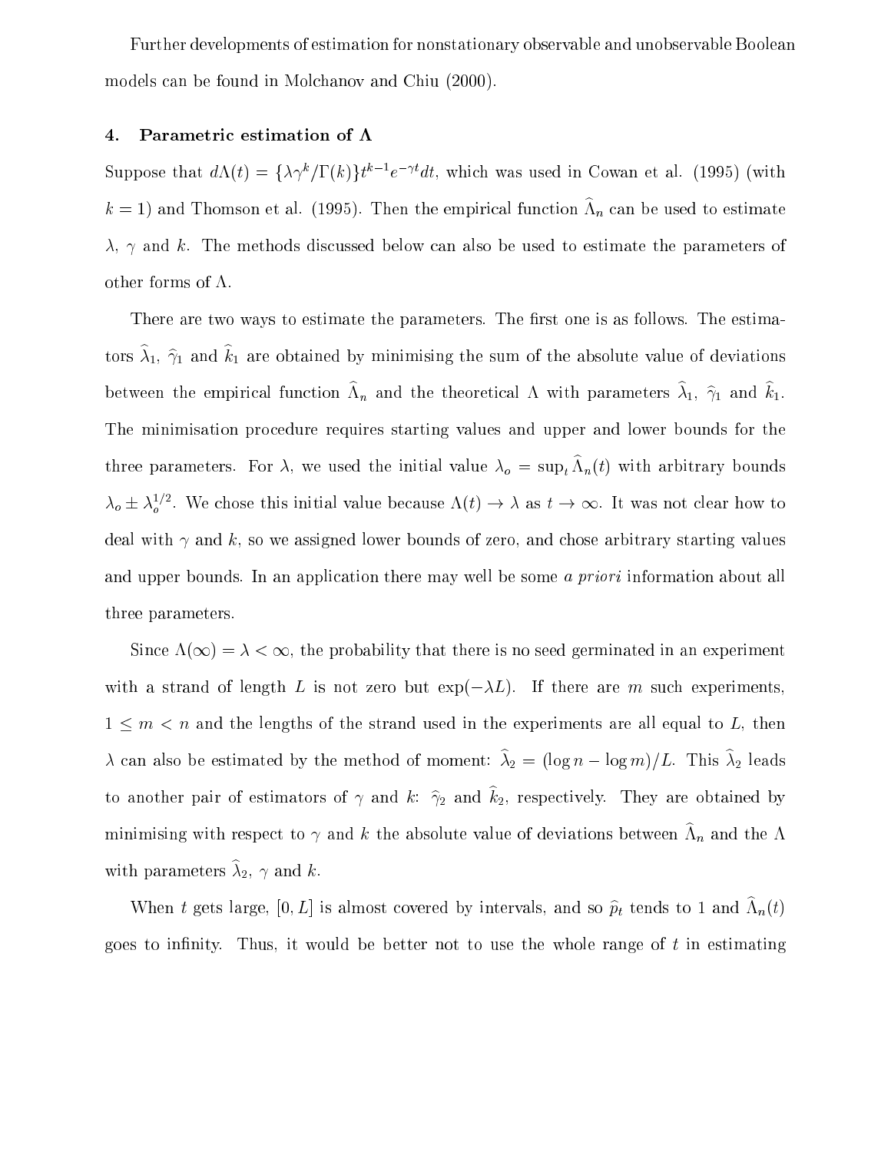Further developments of estimation for nonstationary observable and unobservable Boolean models can be found in Molchanov and Chiu (2000).

#### 4. Parametric estimation of  $\Lambda$

Suppose that  $a \Lambda(t) = \{\lambda \gamma \}/1$  (k) $\tau \ell - e^{-\gamma} a t$ , which was used in Cowan et al. (1995) (with  $\kappa = 1$ ) and Thomson et al. (1995). Then the empirical function  $\Lambda_n$  can be used to estimate  $\lambda$ ,  $\gamma$  and k. The methods discussed below can also be used to estimate the parameters of other forms of  $\Lambda$ .

There are two ways to estimate the parameters. The first one is as follows. The estimators  $\hat{\lambda}_1$ ,  $\hat{\gamma}_1$  and  $\hat{k}_1$  are obtained by minimising the sum of the absolute value of deviations between the empirical function  $\Lambda_n$  and the theoretical  $\Lambda$  with parameters  $\lambda_1, \ \gamma_1$  and  $\kappa_1.$ The minimisation procedure requires starting values and upper and lower bounds for the three parameters. For  $\lambda$ , we used the initial value  $\lambda_0 = \sup_t \Lambda_n(t)$  with arbitrary bounds  $\lambda_0 \pm \lambda_0^{-1}$ . We chose this initial value because  $\Lambda(t) \to \lambda$  as  $t \to \infty$ . It was not clear how to deal with  $\gamma$  and k, so we assigned lower bounds of zero, and chose arbitrary starting values and upper bounds. In an application there may well be some a priori information about all three parameters.

Since  $\Lambda(\infty) = \lambda < \infty$ , the probability that there is no seed germinated in an experiment with a strand of length L is not zero but  $\exp(-\lambda L)$ . If there are m such experiments,  $1$  m and the strand used in the strand used in the strand used in the experiments are all equal to  $\mathbb{R}$  $\lambda$  can also be estimated by the method of moment:  $\hat{\lambda}_2 = (\log n - \log m)/L$ . This  $\hat{\lambda}_2$  leads to another pair of estimators of  $\gamma$  and  $k$ :  $\hat{\gamma}_2$  and  $\hat{k}_2$ , respectively. They are obtained by minimising with respect to  $\gamma$  and  $\kappa$  the absolute value of deviations between  $\Lambda_n$  and the  $\Lambda$ with parameters  $\hat{\lambda}_2$ ,  $\gamma$  and k.

when t gets large,  $[0, L]$  is almost covered by intervals, and so  $p_t$  tends to 1 and  $\Lambda_n(t)$ goes to infinity. Thus, it would be better not to use the whole range of  $t$  in estimating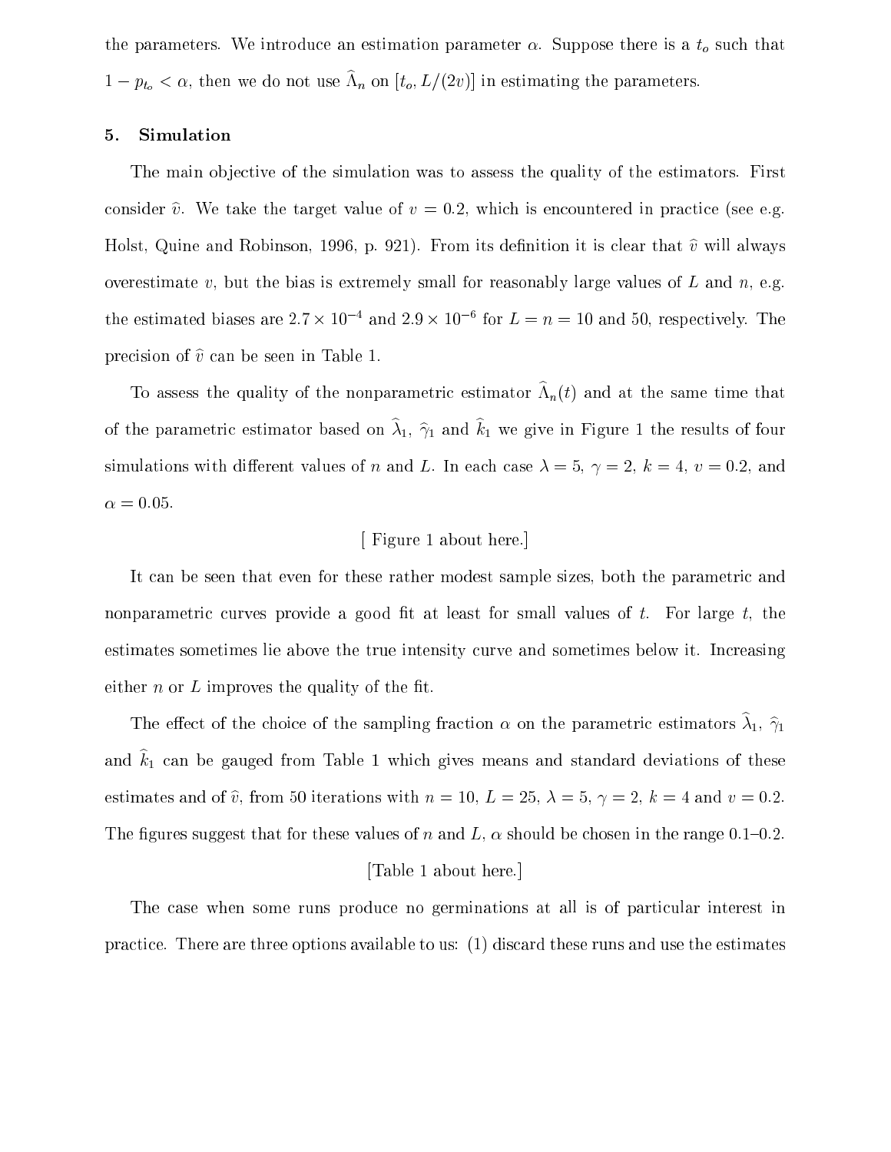the parameters. We introduce an estimation parameter  $\alpha$ . Suppose there is a  $t_o$  such that  $1 - p_{t_o} < \alpha$ , then we do not use  $\Lambda_n$  on  $[t_o, L/(2\upsilon)]$  in estimating the parameters.

#### 5. Simulation

The main objective of the simulation was to assess the quality of the estimators. First consider  $\hat{v}$ . We take the target value of  $v = 0.2$ , which is encountered in practice (see e.g. Holst, Quine and Robinson, 1996, p. 921). From its definition it is clear that  $\hat{v}$  will always overestimate v, but the bias is extremely small for reasonably large values of L and  $n$ , e.g. the estimated biases are 2.4  $\times$  10  $^{-}$  and 2.9  $\times$  10  $^{-}$  for  $L=n=10$  and 50, respectively. The precision of  $\hat{v}$  can be seen in Table 1.

To assess the quality of the nonparametric estimator  $\Lambda_n(t)$  and at the same time that of the parametric estimator based on  $\hat{\lambda}_1$ ,  $\hat{\gamma}_1$  and  $\hat{k}_1$  we give in Figure 1 the results of four simulations with different values of n and L. In each case  $\lambda = 5$ ,  $\gamma = 2$ ,  $k = 4$ ,  $v = 0.2$ , and  $\alpha = 0.05$ .

#### [ Figure 1 about here.]

It can be seen that even for these rather modest sample sizes, both the parametric and nonparametric curves provide a good fit at least for small values of  $t$ . For large  $t$ , the estimates sometimes lie above the true intensity curve and sometimes below it. Increasing either  $n$  or  $L$  improves the quality of the fit.

The effect of the choice of the sampling fraction  $\alpha$  on the parametric estimators  $\hat{\lambda}_1$ ,  $\hat{\gamma}_1$ and  $\hat{k}_1$  can be gauged from Table 1 which gives means and standard deviations of these estimates and of  $\hat{v}$ , from 50 iterations with  $n = 10, L = 25, \lambda = 5, \gamma = 2, k = 4$  and  $v = 0.2$ . The figures suggest that for these values of n and L,  $\alpha$  should be chosen in the range 0.1-0.2.

#### [Table 1 about here.]

The case when some runs produce no germinations at all is of particular interest in practice. There are three options available to us: (1) discard these runs and use the estimates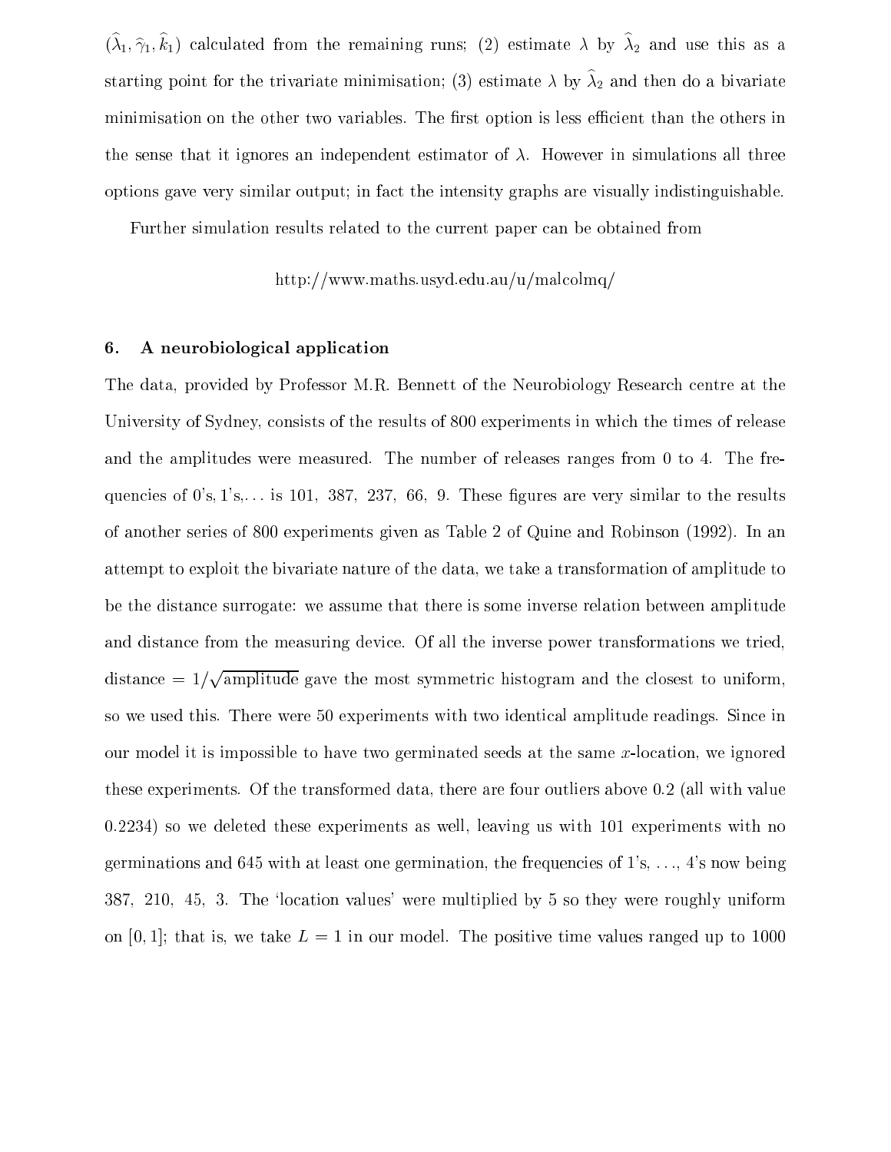$(\hat{\lambda}_1, \hat{\gamma}_1, \hat{k}_1)$  calculated from the remaining runs; (2) estimate  $\lambda$  by  $\hat{\lambda}_2$  and use this as a starting point for the trivariate minimisation; (3) estimate  $\lambda$  by  $\hat{\lambda}_2$  and then do a bivariate minimisation on the other two variables. The first option is less efficient than the others in the sense that it ignores an independent estimator of  $\lambda$ . However in simulations all three options gave very similar output; in fact the intensity graphs are visually indistinguishable.

Further simulation results related to the current paper can be obtained from

$$
\rm http://www.maths.usyd.edu.au/u/malcolmq/
$$

#### 6. A neurobiological application

The data, provided by Professor M.R. Bennett of the Neurobiology Research centre at the University of Sydney, consists of the results of 800 experiments in which the times of release and the amplitudes were measured. The number of releases ranges from 0 to 4. The frequencies of  $0's, 1's,...$  is 101, 387, 237, 66, 9. These figures are very similar to the results of another series of 800 experiments given asTable <sup>2</sup> of Quine and Robinson (1992). In an attempt to exploit the bivariate nature of the data, we take a transformation of amplitude to be the distance surrogate: we assume that there is some inverse relation between amplitude and distance from the measuring device. Of all the inverse power transformations we tried, distance  $= 1/\sqrt{\text{amplitude}}$  gave the most symmetric histogram and the closest to uniform, so we used this. There were 50 experiments with two identical amplitude readings. Since in our model it is impossible to have two germinated seeds at the same  $x$ -location, we ignored these experiments. Of the transformed data, there are four outliers above 0.2 (all with value 0.2234) so we deleted these experiments as well, leaving us with 101 experiments with no germinations and 645 with at least one germination, the frequencies of  $1$ 's,  $\dots$ ,  $4$ 's now being 387, 210, 45, 3. The `location values' were multiplied by 5 so they were roughly uniform on [0, 1]; that is, we take  $L = 1$  in our model. The positive time values ranged up to 1000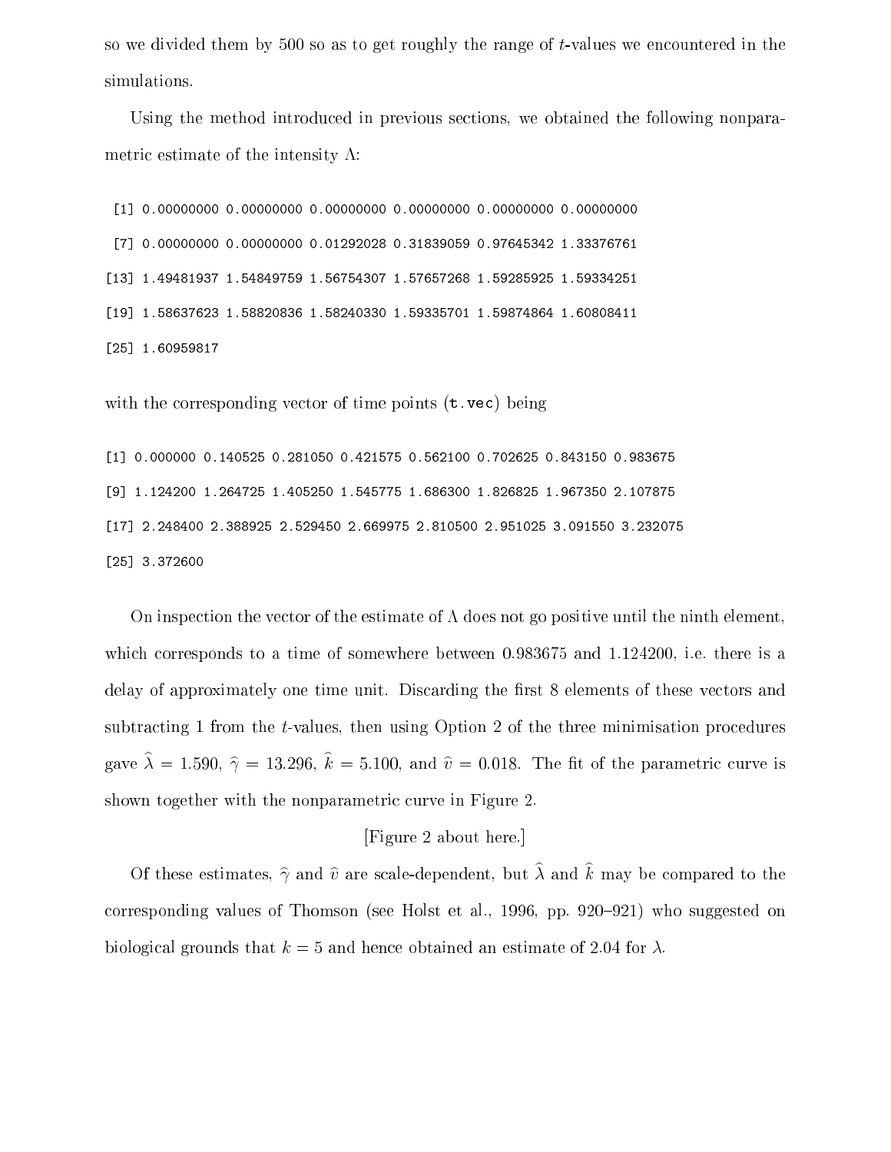so we divided them by 500 so as to get roughly the range of t-values we encountered in the simulations.

Using the method introduced in previous sections, we obtained the following nonparametric estimate of the intensity  $\Lambda$ :

[1] 0.00000000 0.00000000 0.00000000 0.00000000 0.00000000 0.00000000 [7] 0.00000000 0.00000000 0.01292028 0.31839059 0.97645342 1.33376761 [13] 1.49481937 1.54849759 1.56754307 1.57657268 1.59285925 1.59334251 [19] 1.58637623 1.58820836 1.58240330 1.59335701 1.59874864 1.60808411 [25] 1.60959817

with the corresponding vector of time points (**t** vec) being

[1] 0.000000 0.140525 0.281050 0.421575 0.562100 0.702625 0.843150 0.983675 [9] 1.124200 1.264725 1.405250 1.545775 1.686300 1.826825 1.967350 2.107875 [17] 2.248400 2.388925 2.529450 2.669975 2.810500 2.951025 3.091550 3.232075 [25] 3.372600

On inspection the vector of the estimate of  $\Lambda$  does not go positive until the ninth element, which corresponds to a time of somewhere between 0.983675 and 1.124200, i.e. there is a delay of approximately one time unit. Discarding the first 8 elements of these vectors and subtracting 1 from the t-values, then using Option 2 of the three minimisation procedures gave  $\hat{\lambda} = 1.590, \hat{\gamma} = 13.296, \hat{k} = 5.100, \hat{v} = 0.018$ . The fit of the parametric curve is shown together with the nonparametric curve in Figure 2.

#### [Figure 2 about here.]

Of these estimates,  $\hat{\gamma}$  and  $\hat{v}$  are scale-dependent, but  $\hat{\lambda}$  and  $\hat{k}$  may be compared to the corresponding values of Thomson (see Holst et al., 1996, pp. 920–921) who suggested on biological grounds that  $k = 5$  and hence obtained an estimate of 2.04 for  $\lambda$ .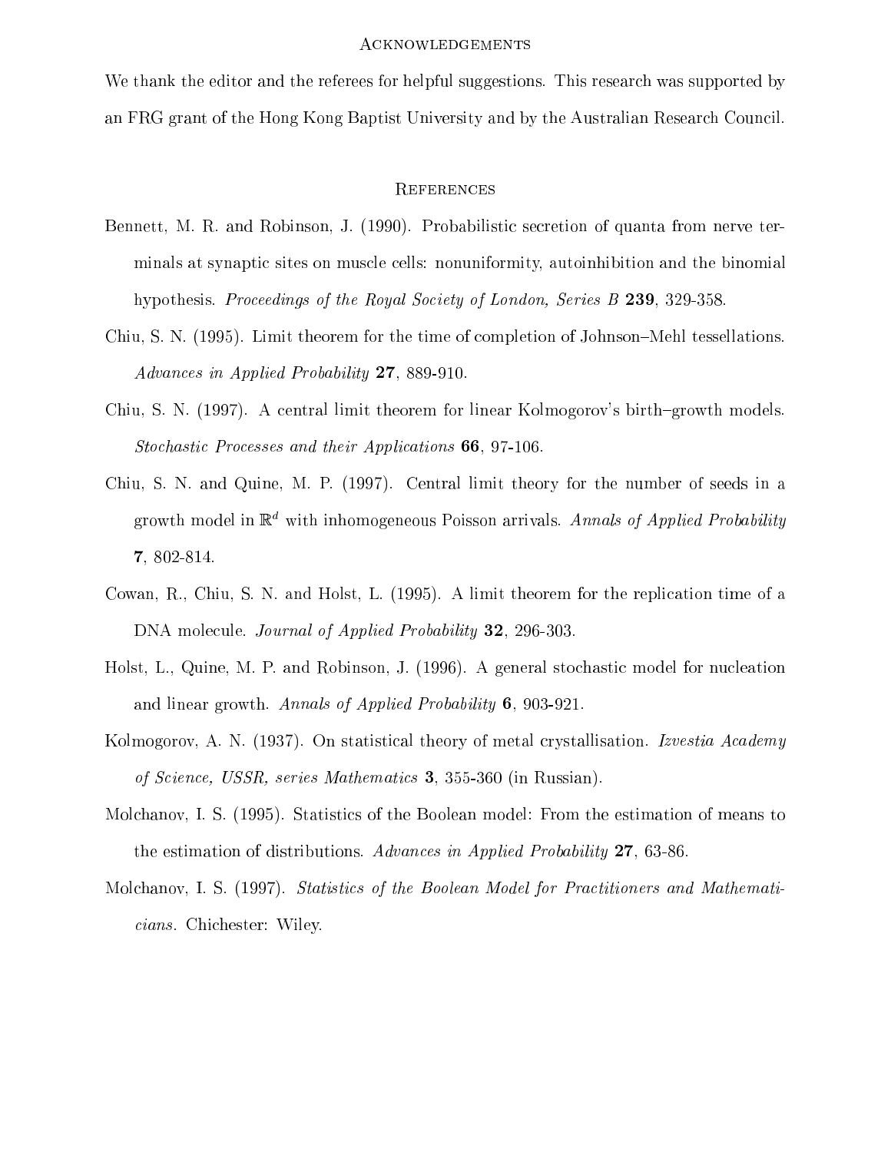#### Acknowledgements

We thank the editor and the referees for helpful suggestions. This research was supported by an FRG grant of the Hong Kong Baptist University and by the Australian Research Council.

#### **REFERENCES**

- Bennett, M. R. and Robinson, J. (1990). Probabilistic secretion of quanta from nerve terminals at synaptic sites on muscle cells: nonuniformity, autoinhibition and the binomial hypothesis. Proceedings of the Royal Society of London, Series B 239, 329-358.
- Chiu, S. N. (1995). Limit theorem for the time of completion of Johnson-Mehl tessellations. Advances in Applied Probability 27, 889-910.
- Chiu, S. N. (1997). A central limit theorem for linear Kolmogorov's birth-growth models. Stochastic Processes and their Applications 66, 97-106.
- Chiu, S. N. and Quine, M. P. (1997). Central limit theory for the number of seeds in a growth model in  $\mathbb{R}^d$  with inhomogeneous Poisson arrivals. Annals of Applied Probability 7, 802-814.
- Cowan, R., Chiu, S. N. and Holst, L. (1995). A limit theorem for the replication time of a DNA molecule. *Journal of Applied Probability* **32**, 296-303.
- Holst, L., Quine, M. P. and Robinson, J. (1996). A general stochastic model for nucleation and linear growth. Annals of Applied Probability 6, 903-921.
- Kolmogorov, A. N. (1937). On statistical theory of metal crystallisation. Izvestia Academy of Science, USSR, series Mathematics 3, 355-360 (in Russian).
- Molchanov, I. S. (1995). Statistics of the Boolean model: From the estimation of means to the estimation of distributions. Advances in Applied Probability 27, 63-86.
- Molchanov, I. S. (1997). Statistics of the Boolean Model for Practitioners and Mathematicians. Chichester: Wiley.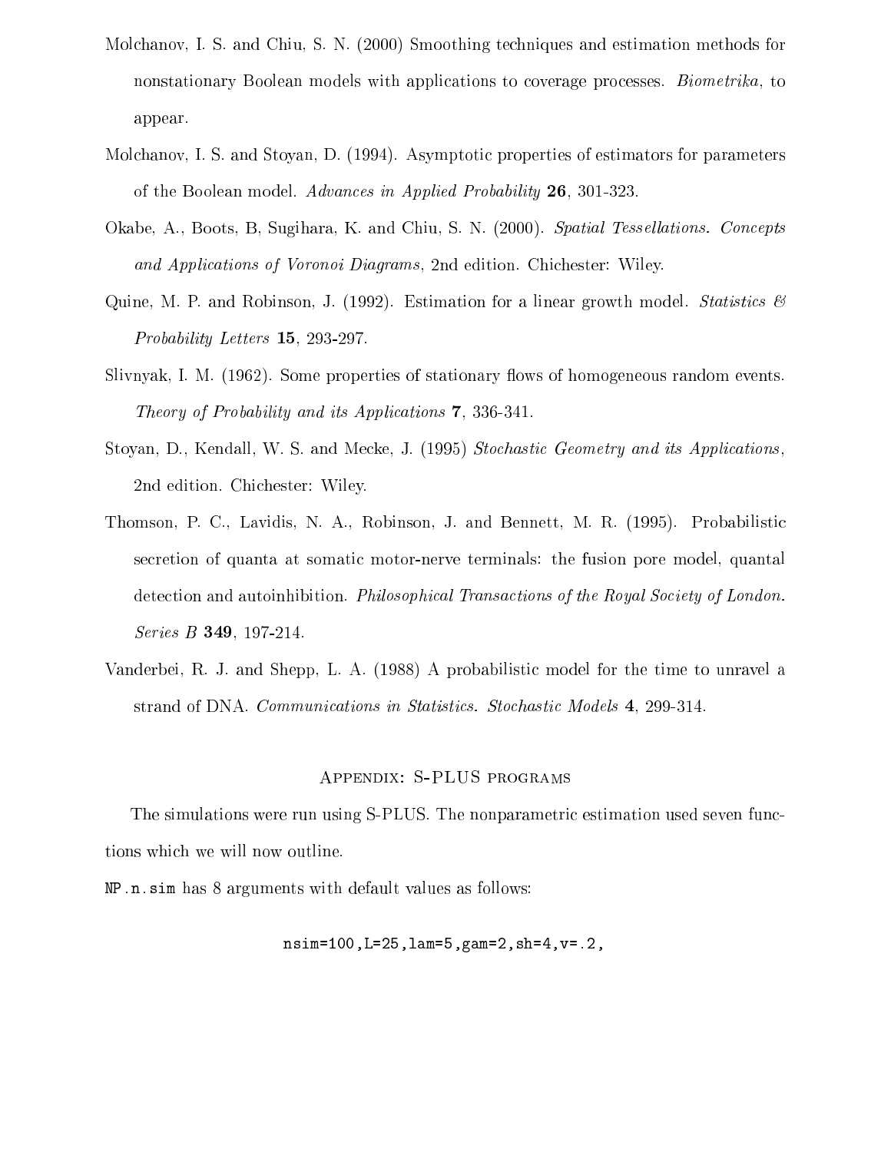- Molchanov, I. S. and Chiu, S. N. (2000) Smoothing techniques and estimation methods for nonstationary Boolean models with applications to coverage processes. Biometrika, to appear.
- Molchanov, I. S. and Stoyan, D. (1994). Asymptotic properties of estimators for parameters of the Boolean model. Advances in Applied Probability 26, 301-323.
- Okabe, A., Boots, B. Sugihara, K. and Chiu, S. N. (2000). Spatial Tessellations. Concepts and Applications of Voronoi Diagrams, 2nd edition. Chichester: Wiley.
- Quine, M. P. and Robinson, J. (1992). Estimation for a linear growth model. Statistics  $\mathscr B$ Probability Letters 15, 293-297.
- Slivnyak, I. M. (1962). Some properties of stationary flows of homogeneous random events. Theory of Probability and its Applications 7, 336-341.
- Stoyan, D., Kendall, W. S. and Mecke, J. (1995) Stochastic Geometry and its Applications , 2nd edition. Chichester: Wiley.
- Thomson, P. C., Lavidis, N. A., Robinson, J. and Bennett, M. R. (1995). Probabilistic secretion of quanta at somatic motor-nerve terminals: the fusion pore model, quantal detection and autoinhibition. Philosophical Transactions of the Royal Society of London. Series **B 349**, 197-214.
- Vanderbei, R. J. and Shepp, L. A. (1988) A probabilistic model for the time to unravel a strand of DNA. Communications in Statistics. Stochastic Models 4, 299-314.

#### Appendix: S-PLUS programs

The simulations were run using S-PLUS. The nonparametric estimation used seven functions which we will now outline.

NP.n.sim has 8 arguments with default values as follows:

$$
nsim=100, L=25, lam=5, gam=2, sh=4, v=.2,
$$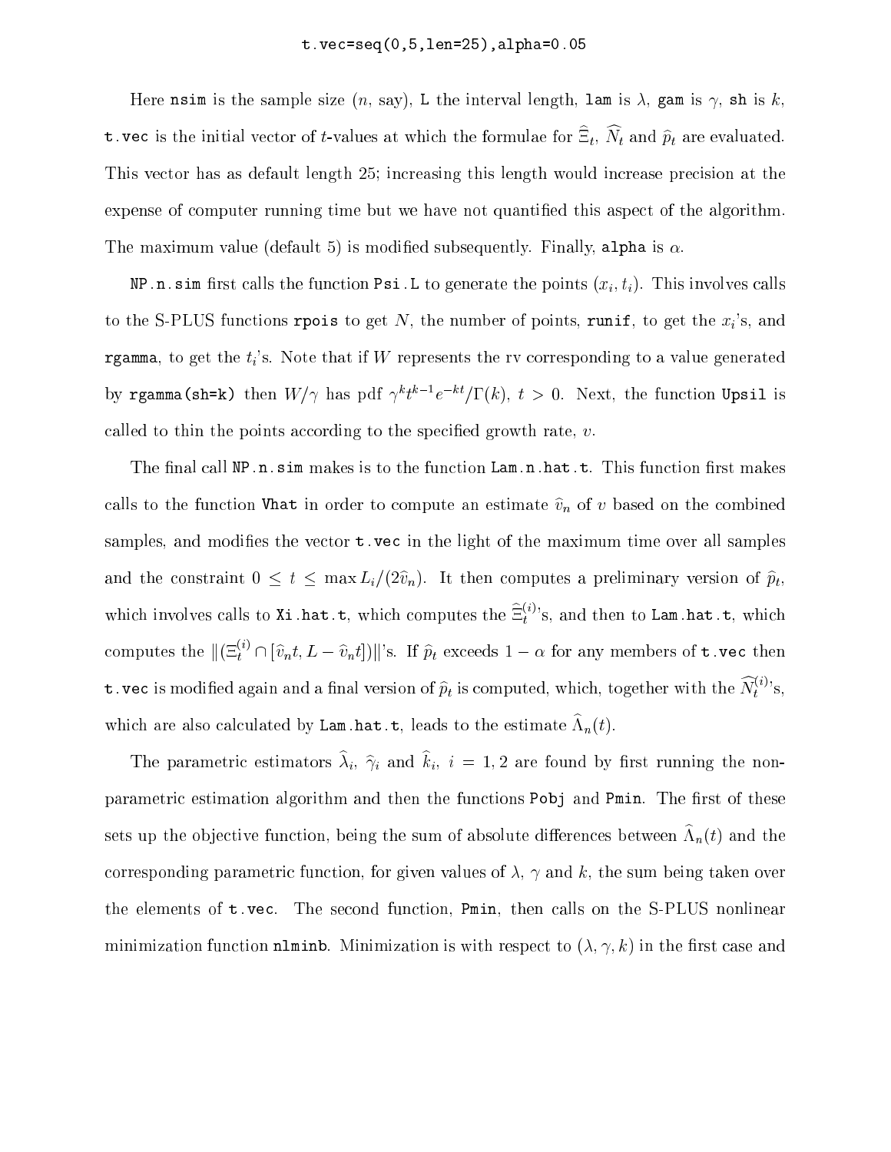Here nsim is the sample size  $(n, say)$ , L the interval length, lam is  $\lambda$ , gam is  $\gamma$ , sh is k, **t.** vec is the initial vector of *t*-values at which the formulae for  $\omega_t$ ,  $N_t$  and  $p_t$  are evaluated. This vector has as default length 25; increasing this length would increase precision at the expense of computer running time but we have not quantied this aspect of the algorithm. The maximum value (default 5) is modified subsequently. Finally, alpha is  $\alpha$ .

 $\mathbf{m}$  , is the function  $\mathbf{m}$  the function Psi.L to generate the points ( $\mathbf{w}_l$ ),  $\mathbf{m}$  involves calls to the S-PLUS functions rpois to get N, the number of points, runif, to get the  $x_i$ 's, and rgamma, to get the  $t_i$ 's. Note that if W represents the rv corresponding to a value generated by reamma(sn=k) then  $W/\gamma$  has pdf  $\gamma$  (  $e=\gamma_1$  ( $\kappa$ ), (  $>$  0. Tyext, the function Upsil is called to thin the points according to the specified growth rate,  $v$ .

The final call  $NP \nIn . \nsim$  makes is to the function  $Lam.n.hat.t.$  This function first makes calls to the function Vhat in order to compute an estimate  $\hat{v}_n$  of v based on the combined samples, and modifies the vector  $t$ , vec in the light of the maximum time over all samples and the constraint  $\circ \cdot \cdot \cdot$  max  $L_l$  ( $\bullet v_l$ ). It then computes a prefiminary version of  $p_l$ which involves calls to Xi.hat.t, which computes the  $\Xi_t^{\leftarrow}$ 's, and then to Lam.hat.t, which computes the  $\|(\Xi_t^{i_0}\cap [\widehat{v}_nt,L-\widehat{v}_nt])\|$ 's. If  $\widehat{p}_t$  exceeds  $1-\alpha$  for any members of  ${\tt t}$  vec then **t** vec is modified again and a final version of  $\widehat{p}_t$  is computed, which, together with the  $N_t^{(i)}$ 's, which are also calculated by Lam.hat.t, leads to the estimate  $\Lambda_n(t)$ .

The parametric estimators  $\hat{\lambda}_i$ ,  $\hat{\gamma}_i$  and  $\hat{k}_i$ ,  $i = 1, 2$  are found by first running the nonparametric estimation algorithm and then the functions Pobj and Pmin. The first of these sets up the objective function, being the sum of absolute differences between  $\Lambda_n(t)$  and the corresponding parametric function, for given values of  $\lambda$ ,  $\gamma$  and k, the sum being taken over the elements of t.vec. The second function, Pmin, then calls on the S-PLUS nonlinear minimization function nlminb. Minimization is with respect to  $(\lambda, \gamma, k)$  in the first case and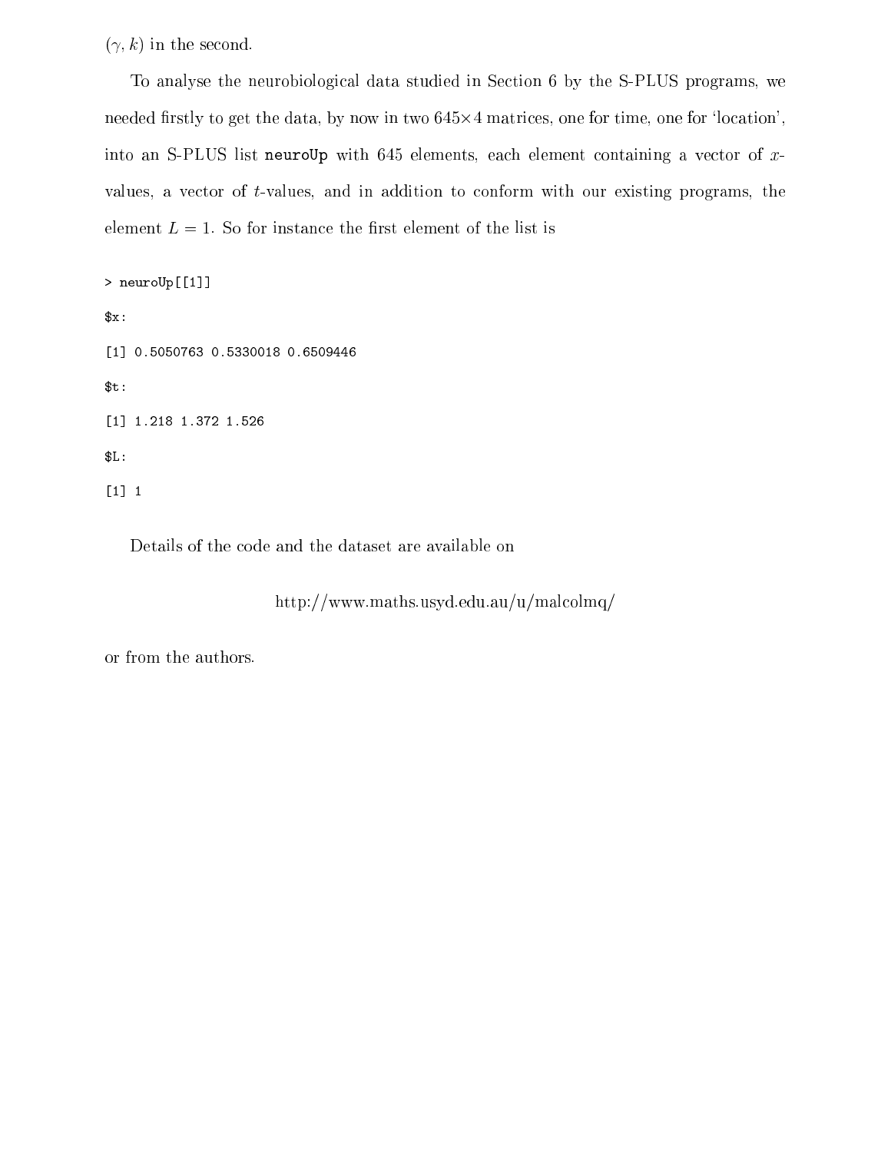$(\gamma, k)$  in the second.

To analyse the neurobiological data studied in Section 6 by the S-PLUS programs, we needed firstly to get the data, by now in two  $645\times4$  matrices, one for time, one for 'location', into an S-PLUS list neuroUp with  $645$  elements, each element containing a vector of xvalues, a vector of  $t$ -values, and in addition to conform with our existing programs, the element  $L = 1$ . So for instance the first element of the list is

<sup>&</sup>gt; neuroUp[[1]]  $x:$ [1] 0.5050763 0.5330018 0.6509446  $$t:$ [1] 1.218 1.372 1.526 \$L: [1] <sup>1</sup>

Details of the code and the dataset are available on

http://www.maths.usyd.edu.au/u/malcolmq/

or from the authors.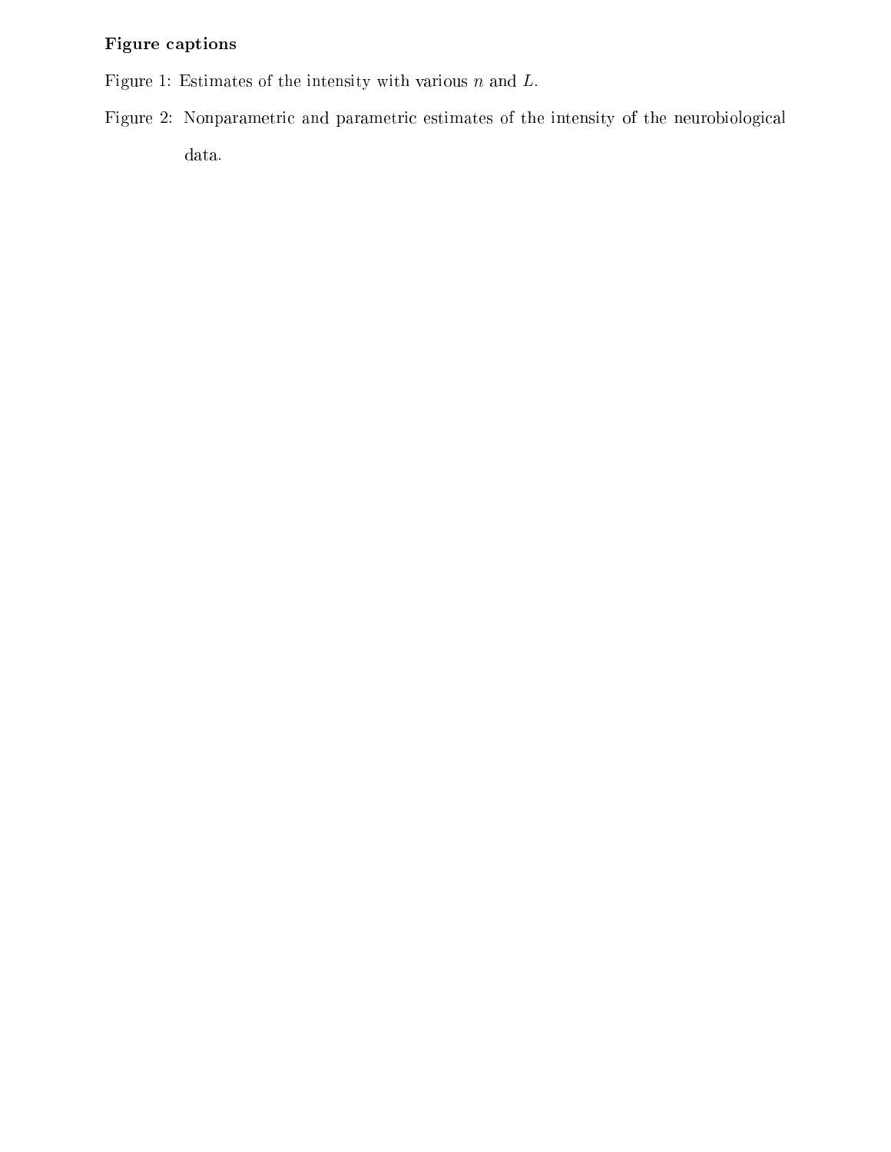### Figure captions

Figure 1: Estimates of the intensity with various  $n$  and  $L$ .

Figure 2: Nonparametric and parametric estimates of the intensity of the neurobiological data.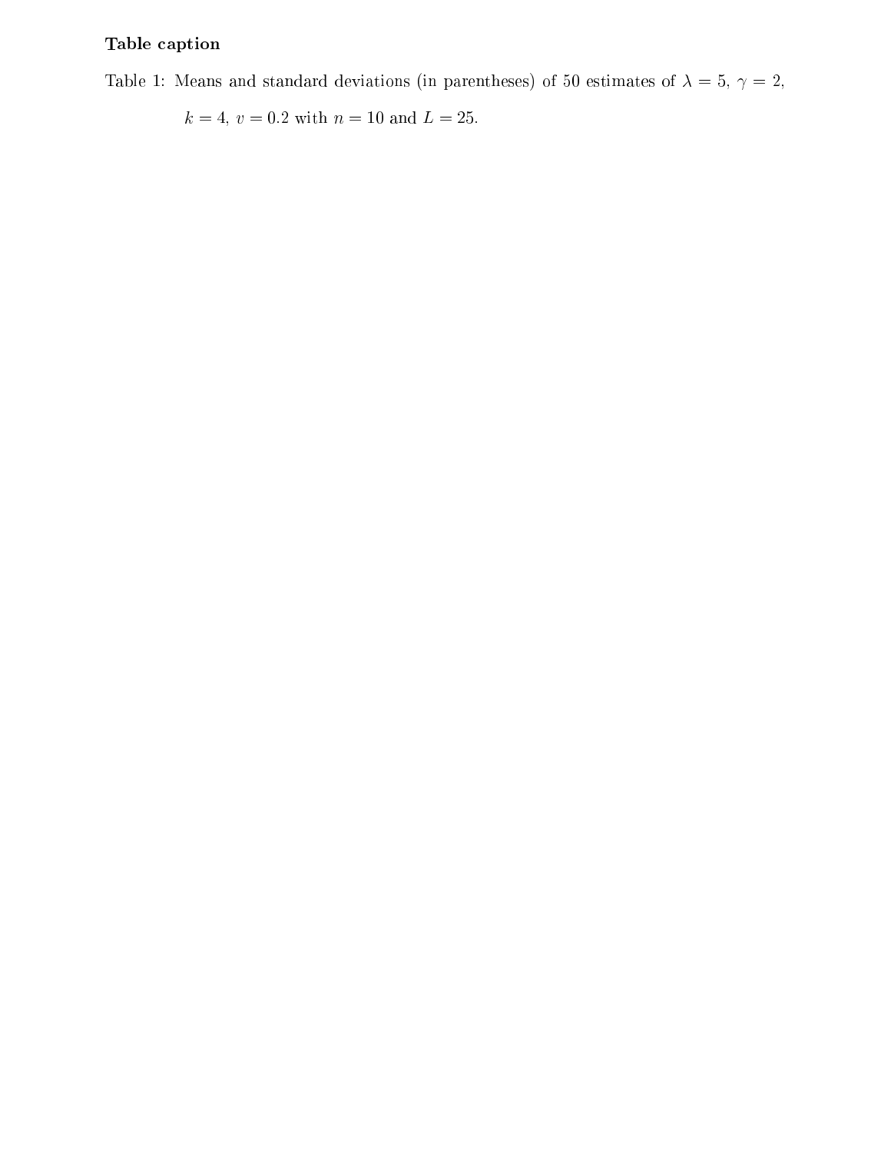## Table caption

Table 1: Means and standard deviations (in parentheses) of 50 estimates of  $\lambda = 5$ ,  $\gamma = 2$ ,

 $k=4,\,v=0.2$  with  $n=10$  and  $L=25.$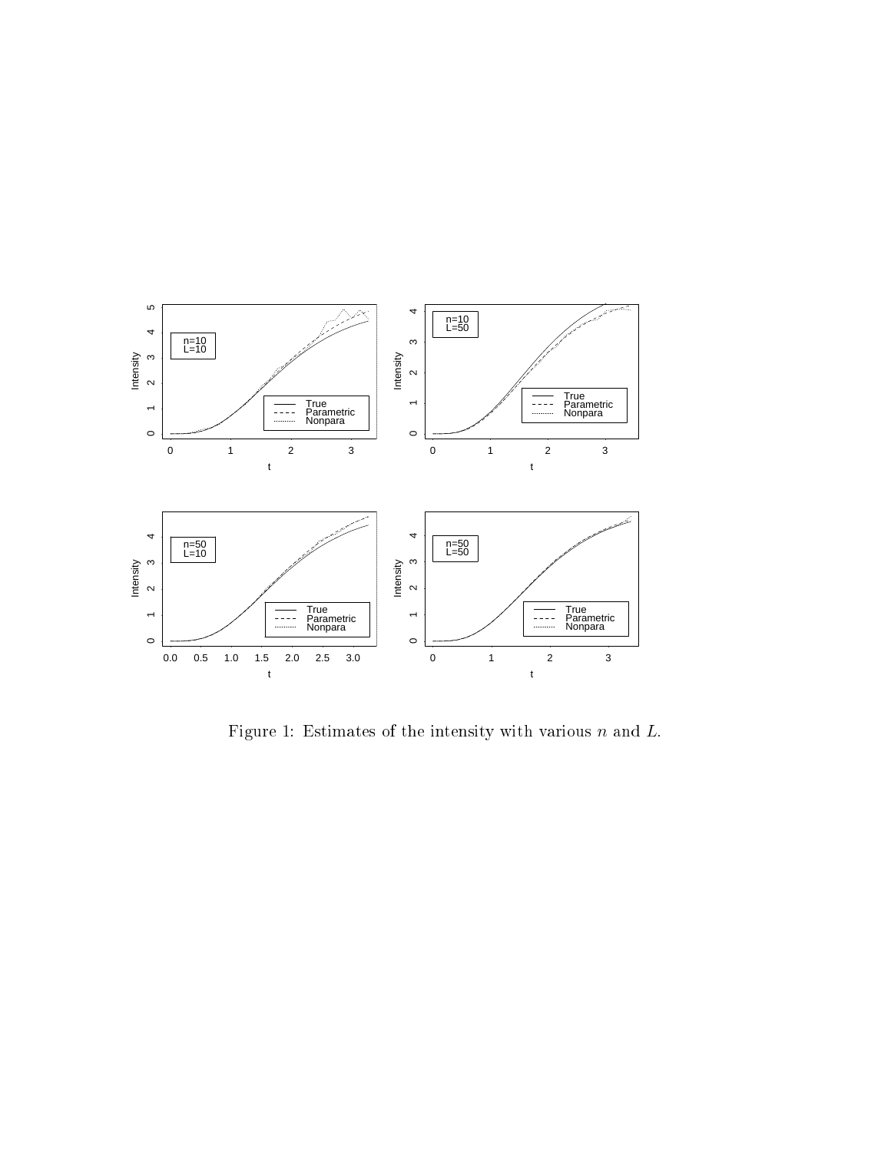

Figure 1: Estimates of the intensity with various  $n$  and  $L$ .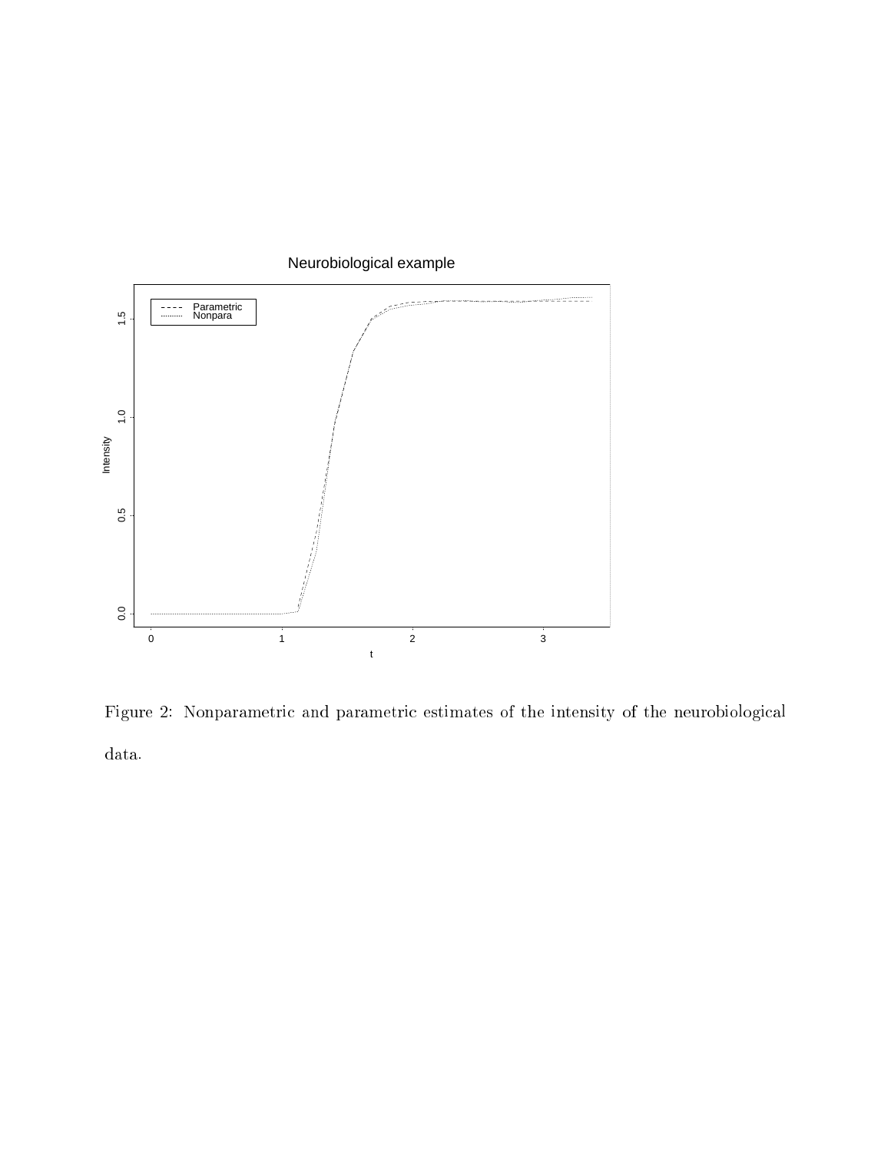

Figure 2: Nonparametric and parametric estimates of the intensity of the neurobiological data.